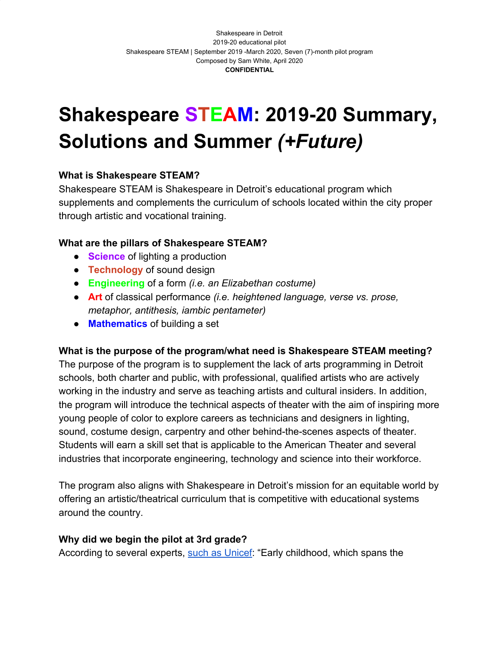# **Shakespeare STEAM: 2019-20 Summary, Solutions and Summer** *(+Future)*

## **What is Shakespeare STEAM?**

Shakespeare STEAM is Shakespeare in Detroit's educational program which supplements and complements the curriculum of schools located within the city proper through artistic and vocational training.

## **What are the pillars of Shakespeare STEAM?**

- **Science** of lighting a production
- **Technology** of sound design
- **Engineering** of a form *(i.e. an Elizabethan costume)*
- **Art** of classical performance *(i.e. heightened language, verse vs. prose, metaphor, antithesis, iambic pentameter)*
- **Mathematics** of building a set

## **What is the purpose of the program/what need is Shakespeare STEAM meeting?**

The purpose of the program is to supplement the lack of arts programming in Detroit schools, both charter and public, with professional, qualified artists who are actively working in the industry and serve as teaching artists and cultural insiders. In addition, the program will introduce the technical aspects of theater with the aim of inspiring more young people of color to explore careers as technicians and designers in lighting, sound, costume design, carpentry and other behind-the-scenes aspects of theater. Students will earn a skill set that is applicable to the American Theater and several industries that incorporate engineering, technology and science into their workforce.

The program also aligns with Shakespeare in Detroit's mission for an equitable world by offering an artistic/theatrical curriculum that is competitive with educational systems around the country.

## **Why did we begin the pilot at 3rd grade?**

According to several experts, [such as Unicef:](https://www.unicef.org/earlychildhood/files/Brochure_-_The_Formative_Years.pdf) "Early childhood, which spans the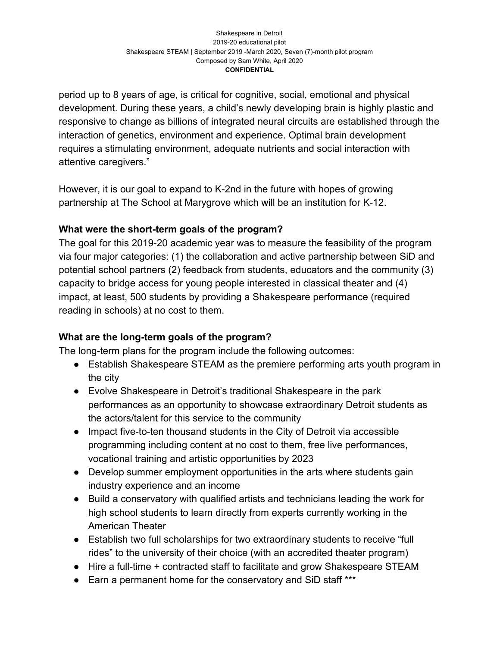period up to 8 years of age, is critical for cognitive, social, emotional and physical development. During these years, a child's newly developing brain is highly plastic and responsive to change as billions of integrated neural circuits are established through the interaction of genetics, environment and experience. Optimal brain development requires a stimulating environment, adequate nutrients and social interaction with attentive caregivers."

However, it is our goal to expand to K-2nd in the future with hopes of growing partnership at The School at Marygrove which will be an institution for K-12.

# **What were the short-term goals of the program?**

The goal for this 2019-20 academic year was to measure the feasibility of the program via four major categories: (1) the collaboration and active partnership between SiD and potential school partners (2) feedback from students, educators and the community (3) capacity to bridge access for young people interested in classical theater and (4) impact, at least, 500 students by providing a Shakespeare performance (required reading in schools) at no cost to them.

# **What are the long-term goals of the program?**

The long-term plans for the program include the following outcomes:

- Establish Shakespeare STEAM as the premiere performing arts youth program in the city
- Evolve Shakespeare in Detroit's traditional Shakespeare in the park performances as an opportunity to showcase extraordinary Detroit students as the actors/talent for this service to the community
- Impact five-to-ten thousand students in the City of Detroit via accessible programming including content at no cost to them, free live performances, vocational training and artistic opportunities by 2023
- Develop summer employment opportunities in the arts where students gain industry experience and an income
- Build a conservatory with qualified artists and technicians leading the work for high school students to learn directly from experts currently working in the American Theater
- Establish two full scholarships for two extraordinary students to receive "full rides" to the university of their choice (with an accredited theater program)
- Hire a full-time + contracted staff to facilitate and grow Shakespeare STEAM
- Earn a permanent home for the conservatory and SiD staff \*\*\*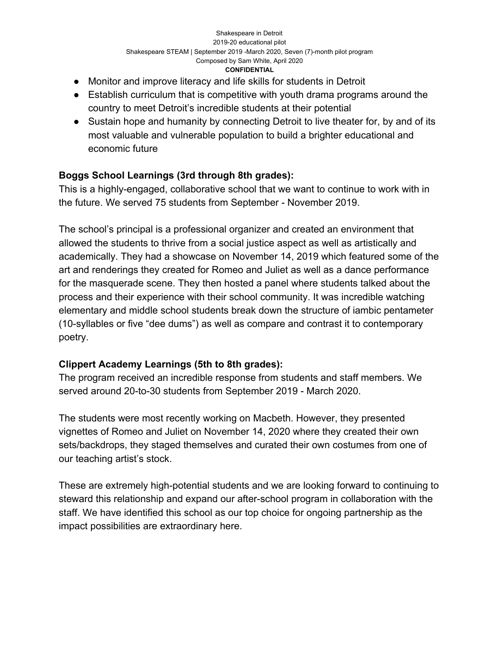- Monitor and improve literacy and life skills for students in Detroit
- Establish curriculum that is competitive with youth drama programs around the country to meet Detroit's incredible students at their potential
- Sustain hope and humanity by connecting Detroit to live theater for, by and of its most valuable and vulnerable population to build a brighter educational and economic future

# **Boggs School Learnings (3rd through 8th grades):**

This is a highly-engaged, collaborative school that we want to continue to work with in the future. We served 75 students from September - November 2019.

The school's principal is a professional organizer and created an environment that allowed the students to thrive from a social justice aspect as well as artistically and academically. They had a showcase on November 14, 2019 which featured some of the art and renderings they created for Romeo and Juliet as well as a dance performance for the masquerade scene. They then hosted a panel where students talked about the process and their experience with their school community. It was incredible watching elementary and middle school students break down the structure of iambic pentameter (10-syllables or five "dee dums") as well as compare and contrast it to contemporary poetry.

# **Clippert Academy Learnings (5th to 8th grades):**

The program received an incredible response from students and staff members. We served around 20-to-30 students from September 2019 - March 2020.

The students were most recently working on Macbeth. However, they presented vignettes of Romeo and Juliet on November 14, 2020 where they created their own sets/backdrops, they staged themselves and curated their own costumes from one of our teaching artist's stock.

These are extremely high-potential students and we are looking forward to continuing to steward this relationship and expand our after-school program in collaboration with the staff. We have identified this school as our top choice for ongoing partnership as the impact possibilities are extraordinary here.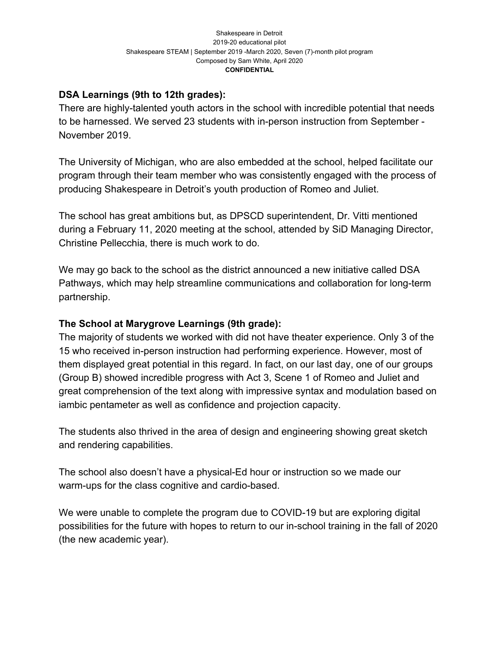## **DSA Learnings (9th to 12th grades):**

There are highly-talented youth actors in the school with incredible potential that needs to be harnessed. We served 23 students with in-person instruction from September - November 2019.

The University of Michigan, who are also embedded at the school, helped facilitate our program through their team member who was consistently engaged with the process of producing Shakespeare in Detroit's youth production of Romeo and Juliet.

The school has great ambitions but, as DPSCD superintendent, Dr. Vitti mentioned during a February 11, 2020 meeting at the school, attended by SiD Managing Director, Christine Pellecchia, there is much work to do.

We may go back to the school as the district announced a new initiative called DSA Pathways, which may help streamline communications and collaboration for long-term partnership.

## **The School at Marygrove Learnings (9th grade):**

The majority of students we worked with did not have theater experience. Only 3 of the 15 who received in-person instruction had performing experience. However, most of them displayed great potential in this regard. In fact, on our last day, one of our groups (Group B) showed incredible progress with Act 3, Scene 1 of Romeo and Juliet and great comprehension of the text along with impressive syntax and modulation based on iambic pentameter as well as confidence and projection capacity.

The students also thrived in the area of design and engineering showing great sketch and rendering capabilities.

The school also doesn't have a physical-Ed hour or instruction so we made our warm-ups for the class cognitive and cardio-based.

We were unable to complete the program due to COVID-19 but are exploring digital possibilities for the future with hopes to return to our in-school training in the fall of 2020 (the new academic year).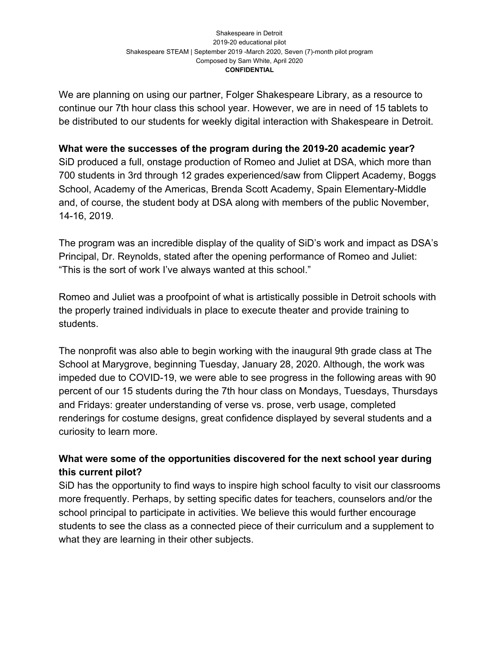We are planning on using our partner, Folger Shakespeare Library, as a resource to continue our 7th hour class this school year. However, we are in need of 15 tablets to be distributed to our students for weekly digital interaction with Shakespeare in Detroit.

#### **What were the successes of the program during the 2019-20 academic year?**

SiD produced a full, onstage production of Romeo and Juliet at DSA, which more than 700 students in 3rd through 12 grades experienced/saw from Clippert Academy, Boggs School, Academy of the Americas, Brenda Scott Academy, Spain Elementary-Middle and, of course, the student body at DSA along with members of the public November, 14-16, 2019.

The program was an incredible display of the quality of SiD's work and impact as DSA's Principal, Dr. Reynolds, stated after the opening performance of Romeo and Juliet: "This is the sort of work I've always wanted at this school."

Romeo and Juliet was a proofpoint of what is artistically possible in Detroit schools with the properly trained individuals in place to execute theater and provide training to students.

The nonprofit was also able to begin working with the inaugural 9th grade class at The School at Marygrove, beginning Tuesday, January 28, 2020. Although, the work was impeded due to COVID-19, we were able to see progress in the following areas with 90 percent of our 15 students during the 7th hour class on Mondays, Tuesdays, Thursdays and Fridays: greater understanding of verse vs. prose, verb usage, completed renderings for costume designs, great confidence displayed by several students and a curiosity to learn more.

# **What were some of the opportunities discovered for the next school year during this current pilot?**

SiD has the opportunity to find ways to inspire high school faculty to visit our classrooms more frequently. Perhaps, by setting specific dates for teachers, counselors and/or the school principal to participate in activities. We believe this would further encourage students to see the class as a connected piece of their curriculum and a supplement to what they are learning in their other subjects.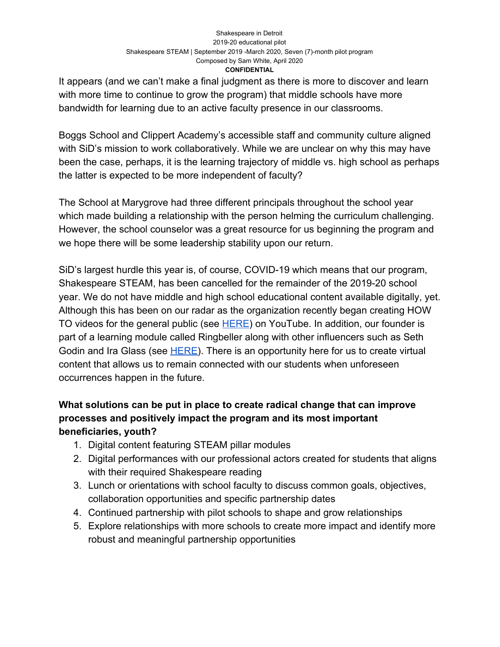It appears (and we can't make a final judgment as there is more to discover and learn with more time to continue to grow the program) that middle schools have more bandwidth for learning due to an active faculty presence in our classrooms.

Boggs School and Clippert Academy's accessible staff and community culture aligned with SiD's mission to work collaboratively. While we are unclear on why this may have been the case, perhaps, it is the learning trajectory of middle vs. high school as perhaps the latter is expected to be more independent of faculty?

The School at Marygrove had three different principals throughout the school year which made building a relationship with the person helming the curriculum challenging. However, the school counselor was a great resource for us beginning the program and we hope there will be some leadership stability upon our return.

SiD's largest hurdle this year is, of course, COVID-19 which means that our program, Shakespeare STEAM, has been cancelled for the remainder of the 2019-20 school year. We do not have middle and high school educational content available digitally, yet. Although this has been on our radar as the organization recently began creating HOW TO videos for the general public (see [HERE](https://www.youtube.com/watch?v=PDvByFGV38E&t=233s)) on YouTube. In addition, our founder is part of a learning module called Ringbeller along with other influencers such as Seth Godin and Ira Glass (see [HERE](https://www.youtube.com/watch?v=MaiIxhnjMM8&fbclid=IwAR0bZGWP2ePcPuNlhSLiqTfZUdrOT6CW7lXKqCdi-s7Zi-0lpayMvnONnXA)). There is an opportunity here for us to create virtual content that allows us to remain connected with our students when unforeseen occurrences happen in the future.

# **What solutions can be put in place to create radical change that can improve processes and positively impact the program and its most important beneficiaries, youth?**

- 1. Digital content featuring STEAM pillar modules
- 2. Digital performances with our professional actors created for students that aligns with their required Shakespeare reading
- 3. Lunch or orientations with school faculty to discuss common goals, objectives, collaboration opportunities and specific partnership dates
- 4. Continued partnership with pilot schools to shape and grow relationships
- 5. Explore relationships with more schools to create more impact and identify more robust and meaningful partnership opportunities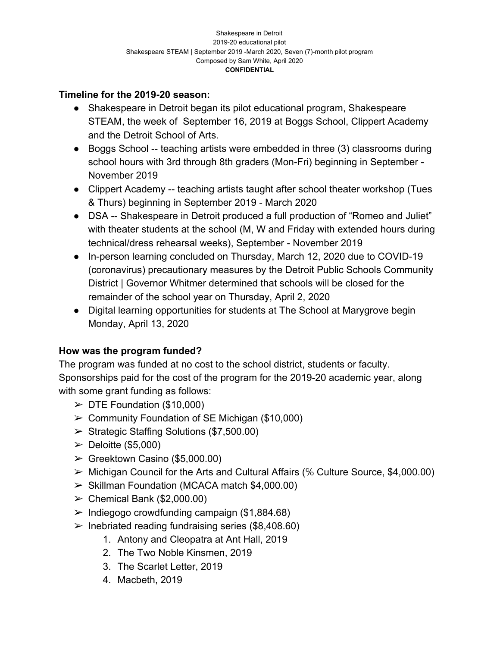## **Timeline for the 2019-20 season:**

- Shakespeare in Detroit began its pilot educational program, Shakespeare STEAM, the week of September 16, 2019 at Boggs School, Clippert Academy and the Detroit School of Arts.
- Boggs School -- teaching artists were embedded in three (3) classrooms during school hours with 3rd through 8th graders (Mon-Fri) beginning in September - November 2019
- Clippert Academy -- teaching artists taught after school theater workshop (Tues & Thurs) beginning in September 2019 - March 2020
- DSA -- Shakespeare in Detroit produced a full production of "Romeo and Juliet" with theater students at the school (M, W and Friday with extended hours during technical/dress rehearsal weeks), September - November 2019
- In-person learning concluded on Thursday, March 12, 2020 due to COVID-19 (coronavirus) precautionary measures by the Detroit Public Schools Community District | Governor Whitmer determined that schools will be closed for the remainder of the school year on Thursday, April 2, 2020
- Digital learning opportunities for students at The School at Marygrove begin Monday, April 13, 2020

## **How was the program funded?**

The program was funded at no cost to the school district, students or faculty. Sponsorships paid for the cost of the program for the 2019-20 academic year, along with some grant funding as follows:

- $\triangleright$  DTE Foundation (\$10,000)
- $\geq$  Community Foundation of SE Michigan (\$10,000)
- $\triangleright$  Strategic Staffing Solutions (\$7,500.00)
- $\blacktriangleright$  Deloitte (\$5,000)
- $\blacktriangleright$  Greektown Casino (\$5,000.00)
- ➢ Michigan Council for the Arts and Cultural Affairs (℅ Culture Source, \$4,000.00)
- ➢ Skillman Foundation (MCACA match \$4,000.00)
- $\geq$  Chemical Bank (\$2,000.00)
- $\geq$  Indiegogo crowdfunding campaign (\$1,884.68)
- $\triangleright$  Inebriated reading fundraising series (\$8,408.60)
	- 1. Antony and Cleopatra at Ant Hall, 2019
	- 2. The Two Noble Kinsmen, 2019
	- 3. The Scarlet Letter, 2019
	- 4. Macbeth, 2019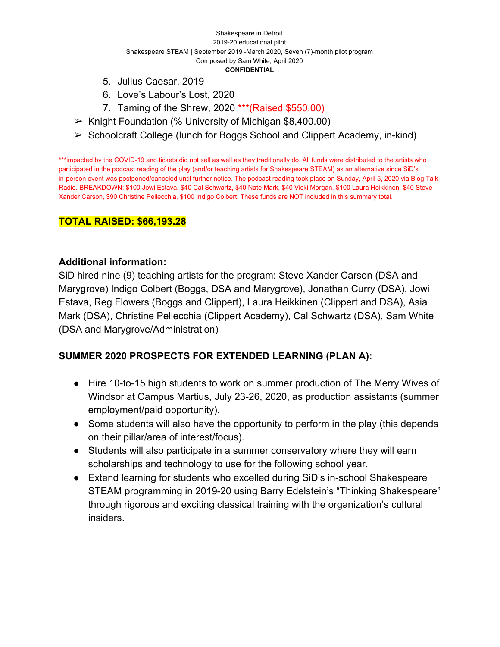- 5. Julius Caesar, 2019
- 6. Love's Labour's Lost, 2020
- 7. Taming of the Shrew, 2020 \*\*\*(Raised \$550.00)
- ➢ Knight Foundation (℅ University of Michigan \$8,400.00)
- ➢ Schoolcraft College (lunch for Boggs School and Clippert Academy, in-kind)

\*\*\*impacted by the COVID-19 and tickets did not sell as well as they traditionally do. All funds were distributed to the artists who participated in the podcast reading of the play (and/or teaching artists for Shakespeare STEAM) as an alternative since SiD's in-person event was postponed/canceled until further notice. The podcast reading took place on Sunday, April 5, 2020 via Blog Talk Radio. BREAKDOWN: \$100 Jowi Estava, \$40 Cal Schwartz, \$40 Nate Mark, \$40 Vicki Morgan, \$100 Laura Heikkinen, \$40 Steve Xander Carson, \$90 Christine Pellecchia, \$100 Indigo Colbert. These funds are NOT included in this summary total.

## **TOTAL RAISED: \$66,193.28**

#### **Additional information:**

SiD hired nine (9) teaching artists for the program: Steve Xander Carson (DSA and Marygrove) Indigo Colbert (Boggs, DSA and Marygrove), Jonathan Curry (DSA), Jowi Estava, Reg Flowers (Boggs and Clippert), Laura Heikkinen (Clippert and DSA), Asia Mark (DSA), Christine Pellecchia (Clippert Academy), Cal Schwartz (DSA), Sam White (DSA and Marygrove/Administration)

## **SUMMER 2020 PROSPECTS FOR EXTENDED LEARNING (PLAN A):**

- Hire 10-to-15 high students to work on summer production of The Merry Wives of Windsor at Campus Martius, July 23-26, 2020, as production assistants (summer employment/paid opportunity).
- Some students will also have the opportunity to perform in the play (this depends on their pillar/area of interest/focus).
- Students will also participate in a summer conservatory where they will earn scholarships and technology to use for the following school year.
- Extend learning for students who excelled during SiD's in-school Shakespeare STEAM programming in 2019-20 using Barry Edelstein's "Thinking Shakespeare" through rigorous and exciting classical training with the organization's cultural insiders.